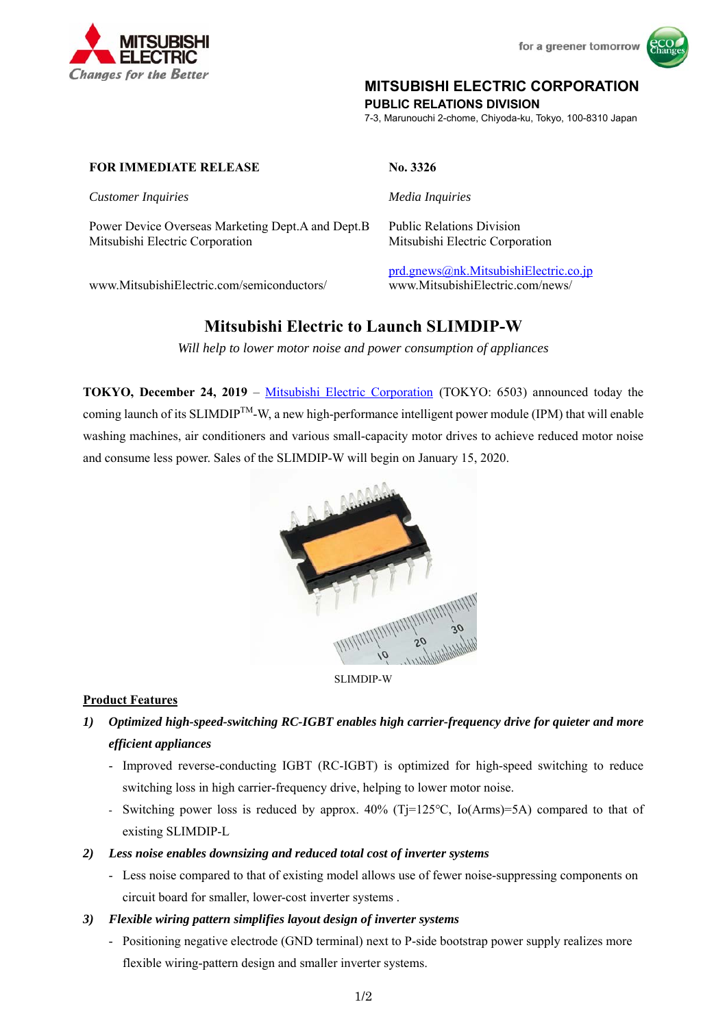

# **MITSUBISHI ELECTRIC CORPORATION**

**PUBLIC RELATIONS DIVISION** 

7-3, Marunouchi 2-chome, Chiyoda-ku, Tokyo, 100-8310 Japan

#### **FOR IMMEDIATE RELEASE No. 3326**

*Customer Inquiries Media Inquiries*

Power Device Overseas Marketing Dept.A and Dept.B Public Relations Division Mitsubishi Electric Corporation Mitsubishi Electric Corporation

prd.gnews@nk.MitsubishiElectric.co.jp www.MitsubishiElectric.com/semiconductors/ www.MitsubishiElectric.com/news/

# **Mitsubishi Electric to Launch SLIMDIP-W**

*Will help to lower motor noise and power consumption of appliances* 

**TOKYO, December 24, 2019** – Mitsubishi Electric Corporation (TOKYO: 6503) announced today the coming launch of its SLIMDIPTM-W, a new high-performance intelligent power module (IPM) that will enable washing machines, air conditioners and various small-capacity motor drives to achieve reduced motor noise and consume less power. Sales of the SLIMDIP-W will begin on January 15, 2020.



SLIMDIP-W

### **Product Features**

- *1) Optimized high-speed-switching RC-IGBT enables high carrier-frequency drive for quieter and more efficient appliances* 
	- Improved reverse-conducting IGBT (RC-IGBT) is optimized for high-speed switching to reduce switching loss in high carrier-frequency drive, helping to lower motor noise.
	- Switching power loss is reduced by approx. 40% (Tj=125℃, Io(Arms)=5A) compared to that of existing SLIMDIP-L
- *2) Less noise enables downsizing and reduced total cost of inverter systems* 
	- Less noise compared to that of existing model allows use of fewer noise-suppressing components on circuit board for smaller, lower-cost inverter systems .
- *3) Flexible wiring pattern simplifies layout design of inverter systems* 
	- Positioning negative electrode (GND terminal) next to P-side bootstrap power supply realizes more flexible wiring-pattern design and smaller inverter systems.